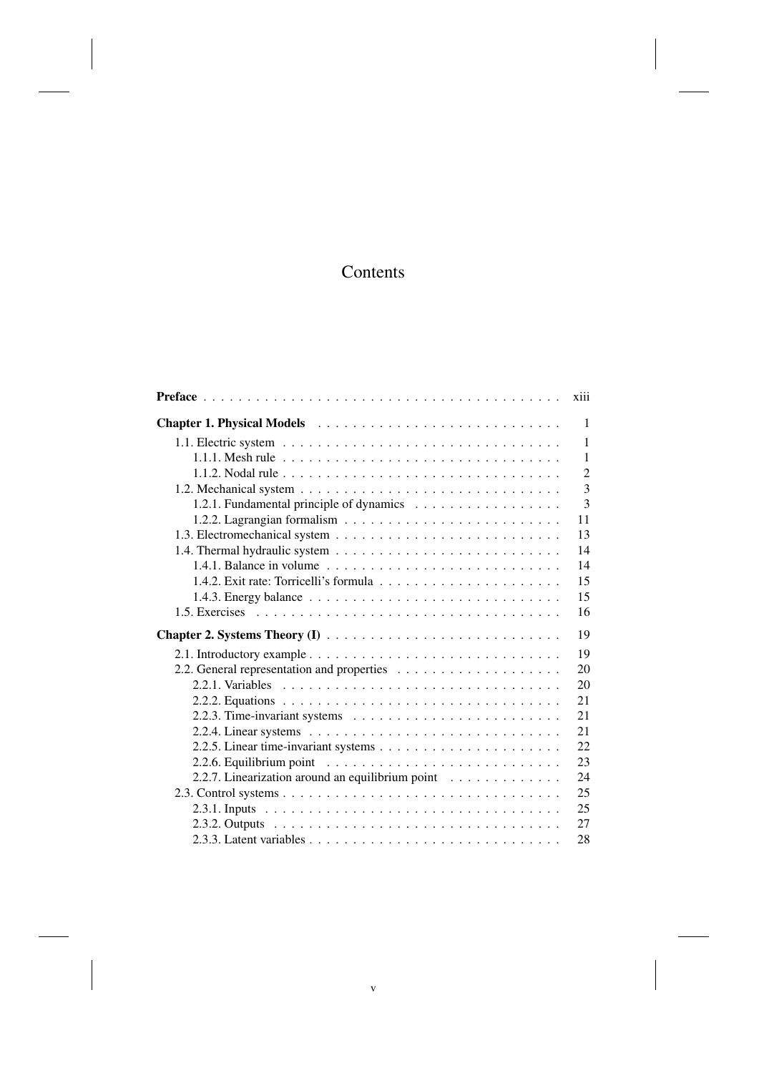# Contents

|                                                                                    | xiii           |
|------------------------------------------------------------------------------------|----------------|
|                                                                                    | $\mathbf{1}$   |
|                                                                                    | $\mathbf{1}$   |
|                                                                                    | $\mathbf{1}$   |
|                                                                                    | $\overline{2}$ |
|                                                                                    | $\overline{3}$ |
|                                                                                    | $\overline{3}$ |
|                                                                                    | 11             |
|                                                                                    | 13             |
|                                                                                    | 14             |
| 1.4.1. Balance in volume $\ldots \ldots \ldots \ldots \ldots \ldots \ldots \ldots$ | 14             |
|                                                                                    | 15             |
|                                                                                    | 15             |
|                                                                                    | 16             |
|                                                                                    | 19             |
|                                                                                    | 19             |
|                                                                                    | 20             |
|                                                                                    | 20             |
|                                                                                    | 21             |
|                                                                                    | 21             |
|                                                                                    | 21             |
|                                                                                    | 22             |
|                                                                                    | 23             |
| 2.2.7. Linearization around an equilibrium point                                   | 24             |
|                                                                                    | 25             |
|                                                                                    |                |
|                                                                                    | 25             |
|                                                                                    | 27             |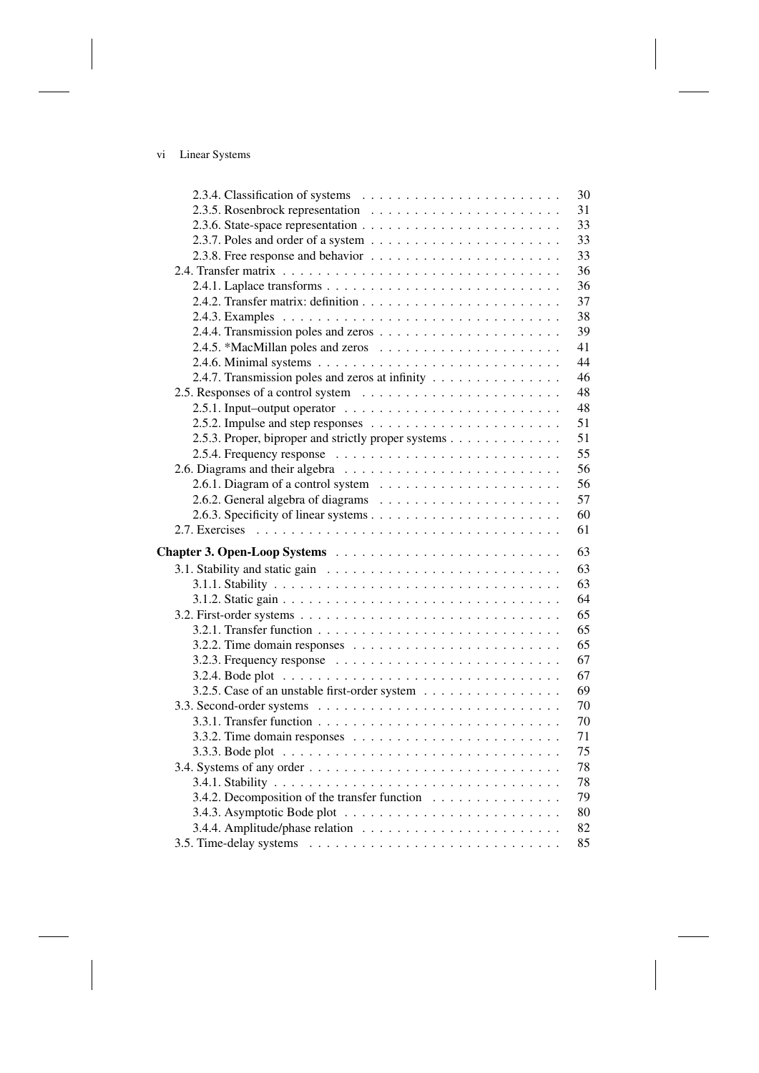# vi Linear Systems

|                                                                                        | 30 |
|----------------------------------------------------------------------------------------|----|
|                                                                                        | 31 |
|                                                                                        | 33 |
| 2.3.7. Poles and order of a system $\dots \dots \dots \dots \dots \dots \dots \dots$   | 33 |
|                                                                                        | 33 |
|                                                                                        | 36 |
|                                                                                        | 36 |
|                                                                                        | 37 |
|                                                                                        | 38 |
|                                                                                        | 39 |
|                                                                                        | 41 |
|                                                                                        | 44 |
| 2.4.7. Transmission poles and zeros at infinity                                        | 46 |
| 2.5. Responses of a control system                                                     | 48 |
| 2.5.1. Input-output operator $\ldots \ldots \ldots \ldots \ldots \ldots \ldots \ldots$ | 48 |
|                                                                                        | 51 |
| 2.5.3. Proper, biproper and strictly proper systems                                    | 51 |
|                                                                                        | 55 |
|                                                                                        | 56 |
|                                                                                        | 56 |
|                                                                                        | 57 |
|                                                                                        | 60 |
|                                                                                        | 61 |
|                                                                                        |    |
|                                                                                        | 63 |
|                                                                                        | 63 |
|                                                                                        | 63 |
|                                                                                        | 64 |
|                                                                                        | 65 |
|                                                                                        | 65 |
|                                                                                        | 65 |
| 3.2.3. Frequency response $\ldots \ldots \ldots \ldots \ldots \ldots \ldots \ldots$    | 67 |
|                                                                                        | 67 |
| 3.2.5. Case of an unstable first-order system                                          | 69 |
|                                                                                        | 70 |
|                                                                                        | 70 |
|                                                                                        | 71 |
|                                                                                        | 75 |
|                                                                                        | 78 |
|                                                                                        | 78 |
| 3.4.2. Decomposition of the transfer function                                          | 79 |
|                                                                                        | 80 |
|                                                                                        | 82 |
|                                                                                        | 85 |
|                                                                                        |    |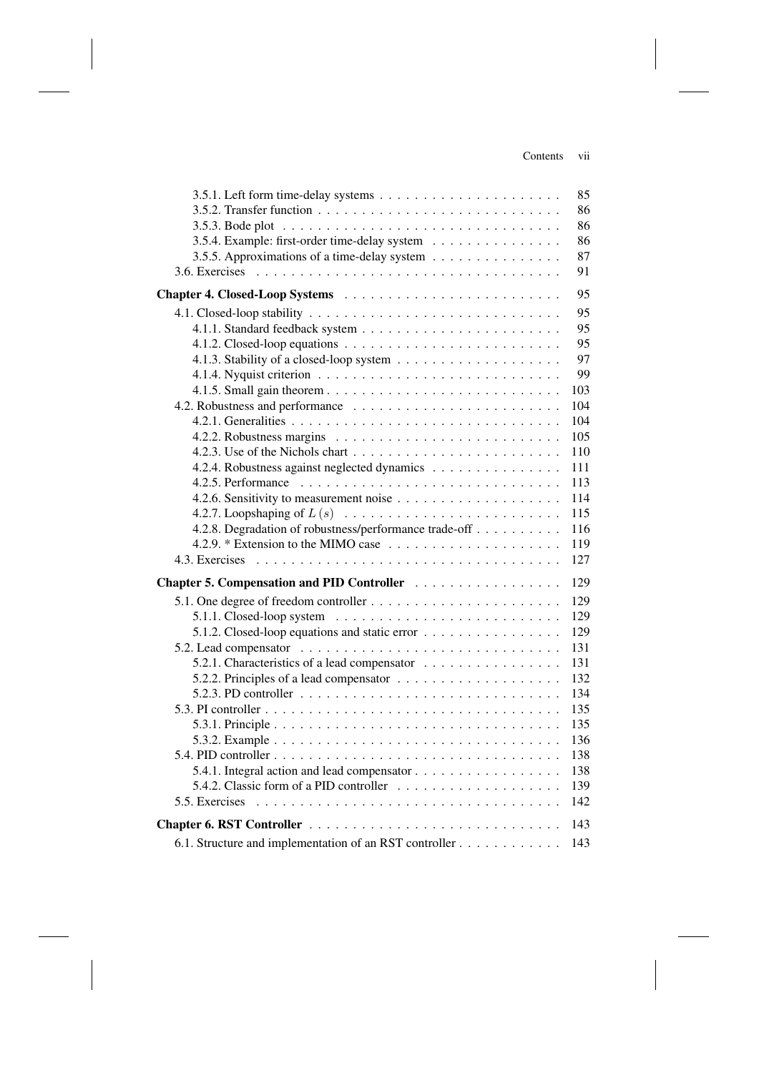### Contents vii

|                                                                                              | 85  |
|----------------------------------------------------------------------------------------------|-----|
|                                                                                              | 86  |
|                                                                                              | 86  |
| 3.5.4. Example: first-order time-delay system                                                | 86  |
| 3.5.5. Approximations of a time-delay system                                                 | 87  |
|                                                                                              | 91  |
|                                                                                              | 95  |
|                                                                                              | 95  |
|                                                                                              | 95  |
|                                                                                              | 95  |
|                                                                                              | 97  |
|                                                                                              | 99  |
|                                                                                              | 103 |
|                                                                                              | 104 |
|                                                                                              | 104 |
|                                                                                              | 105 |
|                                                                                              | 110 |
| 4.2.4. Robustness against neglected dynamics                                                 | 111 |
|                                                                                              | 113 |
|                                                                                              | 114 |
|                                                                                              | 115 |
| 4.2.8. Degradation of robustness/performance trade-off                                       | 116 |
|                                                                                              | 119 |
|                                                                                              | 127 |
| Chapter 5. Compensation and PID Controller                                                   | 129 |
|                                                                                              | 129 |
| 5.1.1. Closed-loop system $\ldots \ldots \ldots \ldots \ldots \ldots \ldots \ldots$          | 129 |
| 5.1.2. Closed-loop equations and static error                                                | 129 |
|                                                                                              | 131 |
| 5.2.1. Characteristics of a lead compensator                                                 | 131 |
|                                                                                              | 132 |
| 5.2.3. PD controller $\ldots \ldots \ldots \ldots \ldots \ldots \ldots \ldots \ldots \ldots$ | 134 |
|                                                                                              | 135 |
|                                                                                              | 135 |
|                                                                                              | 136 |
|                                                                                              | 138 |
| 5.4.1. Integral action and lead compensator                                                  | 138 |
| 5.4.2. Classic form of a PID controller $\ldots \ldots \ldots \ldots \ldots \ldots$          | 139 |
|                                                                                              | 142 |
|                                                                                              |     |
|                                                                                              | 143 |
| 6.1. Structure and implementation of an RST controller                                       | 143 |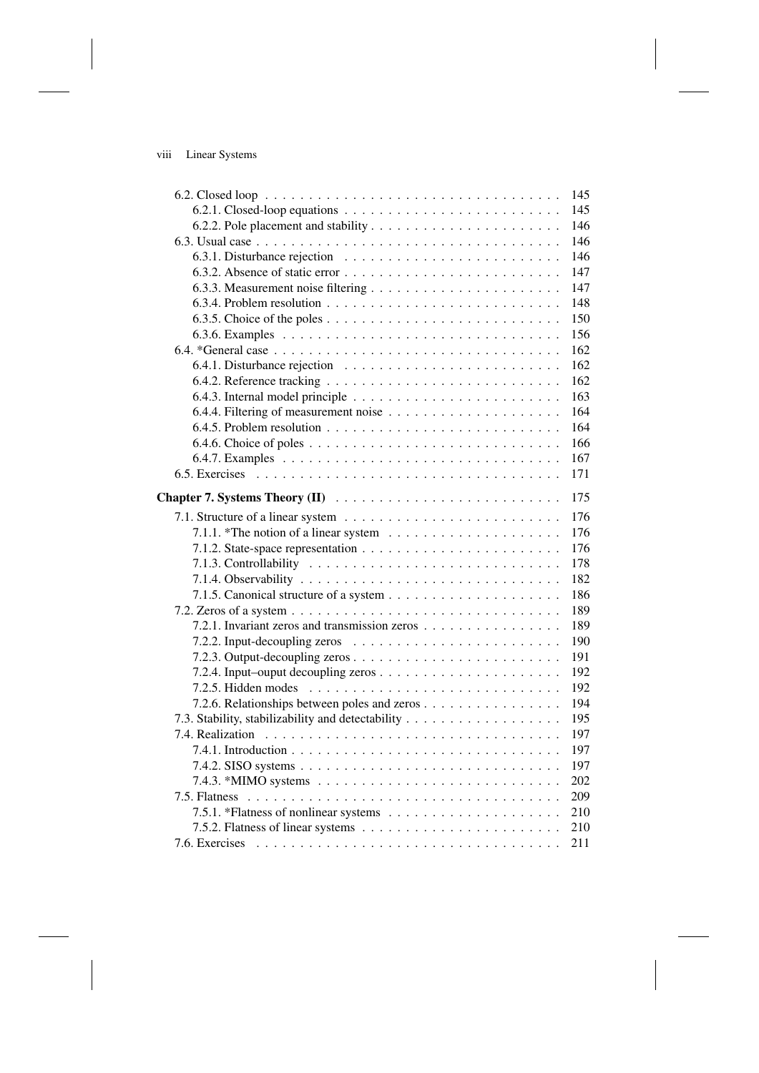| viii | Linear Systems |  |
|------|----------------|--|
|------|----------------|--|

|                                                                                            | 145 |
|--------------------------------------------------------------------------------------------|-----|
|                                                                                            | 145 |
|                                                                                            | 146 |
|                                                                                            | 146 |
|                                                                                            | 146 |
|                                                                                            | 147 |
|                                                                                            | 147 |
| 6.3.4. Problem resolution $\ldots \ldots \ldots \ldots \ldots \ldots \ldots \ldots \ldots$ | 148 |
|                                                                                            | 150 |
|                                                                                            | 156 |
|                                                                                            | 162 |
|                                                                                            | 162 |
|                                                                                            | 162 |
|                                                                                            | 163 |
|                                                                                            | 164 |
|                                                                                            | 164 |
|                                                                                            | 166 |
|                                                                                            | 167 |
|                                                                                            | 171 |
|                                                                                            |     |
|                                                                                            | 175 |
|                                                                                            | 176 |
| 7.1.1. *The notion of a linear system $\dots \dots \dots \dots \dots \dots \dots$          | 176 |
|                                                                                            | 176 |
|                                                                                            | 178 |
|                                                                                            | 182 |
|                                                                                            | 186 |
|                                                                                            | 189 |
| 7.2.1. Invariant zeros and transmission zeros                                              | 189 |
|                                                                                            | 190 |
|                                                                                            | 191 |
|                                                                                            | 192 |
|                                                                                            | 192 |
| 7.2.6. Relationships between poles and zeros                                               | 194 |
|                                                                                            | 195 |
|                                                                                            | 197 |
|                                                                                            | 197 |
|                                                                                            | 197 |
|                                                                                            | 202 |
|                                                                                            | 209 |
|                                                                                            | 210 |
|                                                                                            | 210 |
|                                                                                            | 211 |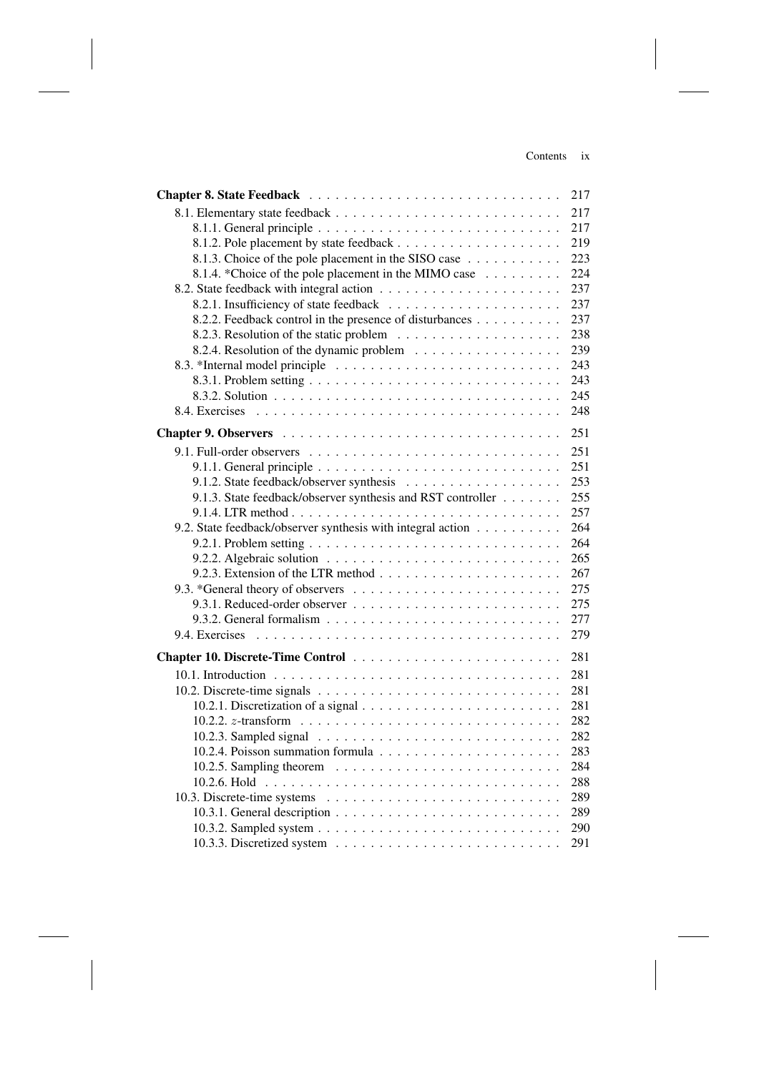### Contents ix

|                                                                                              | 217 |
|----------------------------------------------------------------------------------------------|-----|
|                                                                                              | 217 |
|                                                                                              | 217 |
|                                                                                              | 219 |
| 8.1.3. Choice of the pole placement in the SISO case                                         | 223 |
| 8.1.4. *Choice of the pole placement in the MIMO case                                        | 224 |
|                                                                                              | 237 |
|                                                                                              | 237 |
| 8.2.2. Feedback control in the presence of disturbances                                      | 237 |
|                                                                                              | 238 |
| 8.2.4. Resolution of the dynamic problem                                                     | 239 |
| 8.3. *Internal model principle                                                               | 243 |
|                                                                                              | 243 |
|                                                                                              | 245 |
| 8.4. Exercises                                                                               | 248 |
|                                                                                              | 251 |
|                                                                                              |     |
|                                                                                              | 251 |
|                                                                                              | 251 |
|                                                                                              | 253 |
| 9.1.3. State feedback/observer synthesis and RST controller                                  | 255 |
|                                                                                              | 257 |
| 9.2. State feedback/observer synthesis with integral action                                  | 264 |
|                                                                                              | 264 |
|                                                                                              | 265 |
|                                                                                              | 267 |
|                                                                                              | 275 |
|                                                                                              | 275 |
| 9.3.2. General formalism $\ldots \ldots \ldots \ldots \ldots \ldots \ldots \ldots \ldots$    | 277 |
| 9.4. Exercises                                                                               | 279 |
|                                                                                              | 281 |
|                                                                                              | 281 |
|                                                                                              | 281 |
| 10.2.1. Discretization of a signal $\ldots \ldots \ldots \ldots \ldots \ldots \ldots \ldots$ | 281 |
|                                                                                              | 282 |
|                                                                                              | 282 |
|                                                                                              | 283 |
|                                                                                              | 284 |
|                                                                                              | 288 |
|                                                                                              | 289 |
|                                                                                              | 289 |
|                                                                                              | 290 |
|                                                                                              | 291 |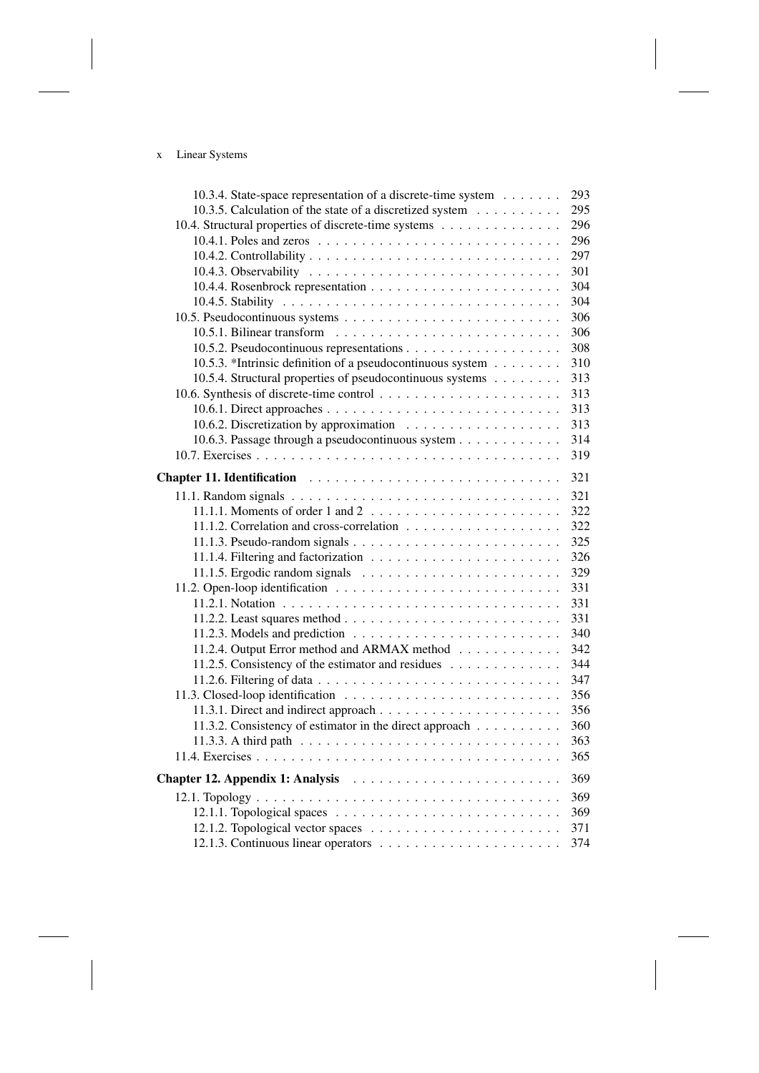# x Linear Systems

| 10.3.4. State-space representation of a discrete-time system                                 | 293 |
|----------------------------------------------------------------------------------------------|-----|
| 10.3.5. Calculation of the state of a discretized system                                     | 295 |
| 10.4. Structural properties of discrete-time systems                                         | 296 |
|                                                                                              | 296 |
|                                                                                              | 297 |
|                                                                                              | 301 |
|                                                                                              | 304 |
|                                                                                              | 304 |
|                                                                                              | 306 |
|                                                                                              | 306 |
|                                                                                              | 308 |
| 10.5.3. *Intrinsic definition of a pseudocontinuous system                                   | 310 |
| 10.5.4. Structural properties of pseudocontinuous systems                                    | 313 |
|                                                                                              | 313 |
|                                                                                              | 313 |
|                                                                                              | 313 |
| 10.6.3. Passage through a pseudocontinuous system                                            | 314 |
|                                                                                              | 319 |
|                                                                                              | 321 |
|                                                                                              | 321 |
| 11.1.1. Moments of order 1 and 2 $\ldots \ldots \ldots \ldots \ldots \ldots \ldots$          | 322 |
|                                                                                              | 322 |
|                                                                                              | 325 |
|                                                                                              | 326 |
|                                                                                              | 329 |
|                                                                                              | 331 |
|                                                                                              | 331 |
|                                                                                              | 331 |
|                                                                                              | 340 |
| 11.2.4. Output Error method and ARMAX method                                                 | 342 |
| 11.2.5. Consistency of the estimator and residues                                            | 344 |
|                                                                                              | 347 |
|                                                                                              | 356 |
|                                                                                              | 356 |
| 11.3.2. Consistency of estimator in the direct approach                                      | 360 |
| 11.3.3. A third path $\ldots \ldots \ldots \ldots \ldots \ldots \ldots \ldots \ldots \ldots$ | 363 |
|                                                                                              | 365 |
|                                                                                              |     |
|                                                                                              | 369 |
|                                                                                              | 369 |
|                                                                                              | 369 |
|                                                                                              | 371 |
|                                                                                              | 374 |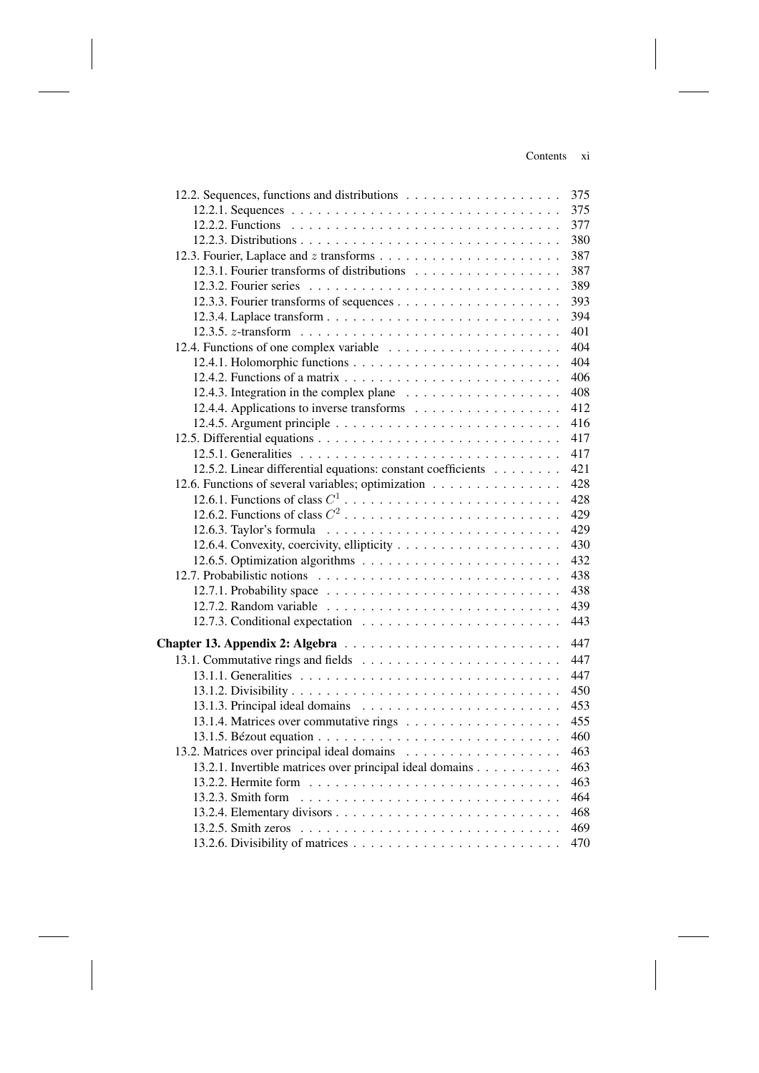### Contents xi

|                                                              | 375 |
|--------------------------------------------------------------|-----|
|                                                              | 375 |
|                                                              | 377 |
|                                                              | 380 |
|                                                              | 387 |
| 12.3.1. Fourier transforms of distributions                  | 387 |
|                                                              | 389 |
|                                                              | 393 |
|                                                              | 394 |
|                                                              | 401 |
| 12.4. Functions of one complex variable                      | 404 |
|                                                              | 404 |
|                                                              | 406 |
|                                                              | 408 |
|                                                              | 412 |
|                                                              | 416 |
|                                                              | 417 |
|                                                              | 417 |
| 12.5.2. Linear differential equations: constant coefficients | 421 |
| 12.6. Functions of several variables; optimization           | 428 |
|                                                              | 428 |
|                                                              | 429 |
|                                                              | 429 |
|                                                              | 430 |
|                                                              | 432 |
|                                                              | 438 |
|                                                              | 438 |
|                                                              | 439 |
|                                                              | 443 |
|                                                              |     |
|                                                              | 447 |
|                                                              | 447 |
|                                                              | 447 |
|                                                              | 450 |
|                                                              | 453 |
|                                                              | 455 |
|                                                              | 460 |
|                                                              | 463 |
| 13.2.1. Invertible matrices over principal ideal domains     | 463 |
|                                                              | 463 |
| $13.2.3$ . Smith form                                        | 464 |
|                                                              | 468 |
|                                                              | 469 |
|                                                              | 470 |